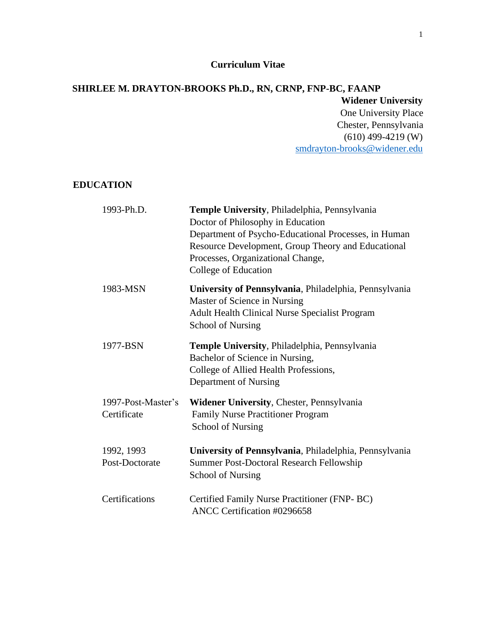### **Curriculum Vitae**

### **SHIRLEE M. DRAYTON-BROOKS Ph.D., RN, CRNP, FNP-BC, FAANP Widener University**  One University Place Chester, Pennsylvania (610) 499-4219 (W) [smdrayton-brooks@widener.edu](mailto:smdrayton-brooks@widener.edu)

### **EDUCATION**

| 1993-Ph.D.                        | Temple University, Philadelphia, Pennsylvania<br>Doctor of Philosophy in Education<br>Department of Psycho-Educational Processes, in Human<br>Resource Development, Group Theory and Educational<br>Processes, Organizational Change,<br>College of Education |
|-----------------------------------|---------------------------------------------------------------------------------------------------------------------------------------------------------------------------------------------------------------------------------------------------------------|
| 1983-MSN                          | University of Pennsylvania, Philadelphia, Pennsylvania<br>Master of Science in Nursing<br><b>Adult Health Clinical Nurse Specialist Program</b><br><b>School of Nursing</b>                                                                                   |
| 1977-BSN                          | Temple University, Philadelphia, Pennsylvania<br>Bachelor of Science in Nursing,<br>College of Allied Health Professions,<br>Department of Nursing                                                                                                            |
| 1997-Post-Master's<br>Certificate | Widener University, Chester, Pennsylvania<br><b>Family Nurse Practitioner Program</b><br><b>School of Nursing</b>                                                                                                                                             |
| 1992, 1993<br>Post-Doctorate      | University of Pennsylvania, Philadelphia, Pennsylvania<br><b>Summer Post-Doctoral Research Fellowship</b><br><b>School of Nursing</b>                                                                                                                         |
| Certifications                    | Certified Family Nurse Practitioner (FNP-BC)<br>ANCC Certification #0296658                                                                                                                                                                                   |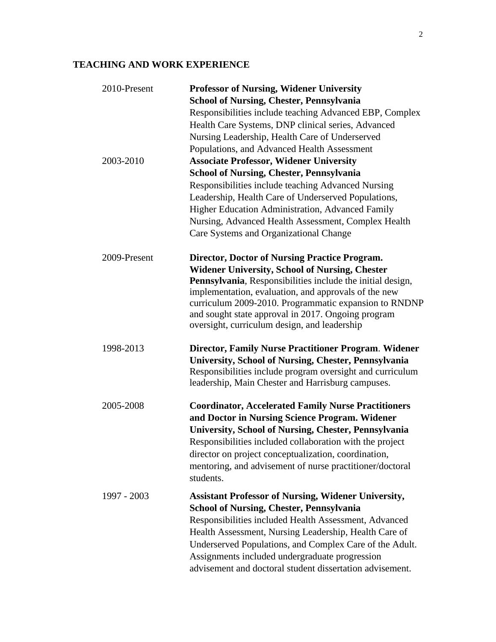## **TEACHING AND WORK EXPERIENCE**

| 2010-Present  | <b>Professor of Nursing, Widener University</b>                                                            |
|---------------|------------------------------------------------------------------------------------------------------------|
|               | <b>School of Nursing, Chester, Pennsylvania</b>                                                            |
|               | Responsibilities include teaching Advanced EBP, Complex                                                    |
|               | Health Care Systems, DNP clinical series, Advanced                                                         |
|               | Nursing Leadership, Health Care of Underserved                                                             |
|               | Populations, and Advanced Health Assessment                                                                |
| 2003-2010     | <b>Associate Professor, Widener University</b>                                                             |
|               | <b>School of Nursing, Chester, Pennsylvania</b>                                                            |
|               | Responsibilities include teaching Advanced Nursing                                                         |
|               | Leadership, Health Care of Underserved Populations,                                                        |
|               | Higher Education Administration, Advanced Family                                                           |
|               | Nursing, Advanced Health Assessment, Complex Health                                                        |
|               | Care Systems and Organizational Change                                                                     |
| 2009-Present  | Director, Doctor of Nursing Practice Program.                                                              |
|               | <b>Widener University, School of Nursing, Chester</b>                                                      |
|               | Pennsylvania, Responsibilities include the initial design,                                                 |
|               | implementation, evaluation, and approvals of the new                                                       |
|               | curriculum 2009-2010. Programmatic expansion to RNDNP                                                      |
|               | and sought state approval in 2017. Ongoing program                                                         |
|               | oversight, curriculum design, and leadership                                                               |
| 1998-2013     | Director, Family Nurse Practitioner Program. Widener                                                       |
|               | University, School of Nursing, Chester, Pennsylvania                                                       |
|               | Responsibilities include program oversight and curriculum                                                  |
|               | leadership, Main Chester and Harrisburg campuses.                                                          |
| 2005-2008     | <b>Coordinator, Accelerated Family Nurse Practitioners</b>                                                 |
|               | and Doctor in Nursing Science Program. Widener                                                             |
|               | University, School of Nursing, Chester, Pennsylvania                                                       |
|               | Responsibilities included collaboration with the project                                                   |
|               | director on project conceptualization, coordination,                                                       |
|               | mentoring, and advisement of nurse practitioner/doctoral                                                   |
|               | students.                                                                                                  |
| $1997 - 2003$ | <b>Assistant Professor of Nursing, Widener University,</b>                                                 |
|               | <b>School of Nursing, Chester, Pennsylvania</b>                                                            |
|               | Responsibilities included Health Assessment, Advanced                                                      |
|               |                                                                                                            |
|               | Health Assessment, Nursing Leadership, Health Care of                                                      |
|               | Underserved Populations, and Complex Care of the Adult.                                                    |
|               | Assignments included undergraduate progression<br>advisement and doctoral student dissertation advisement. |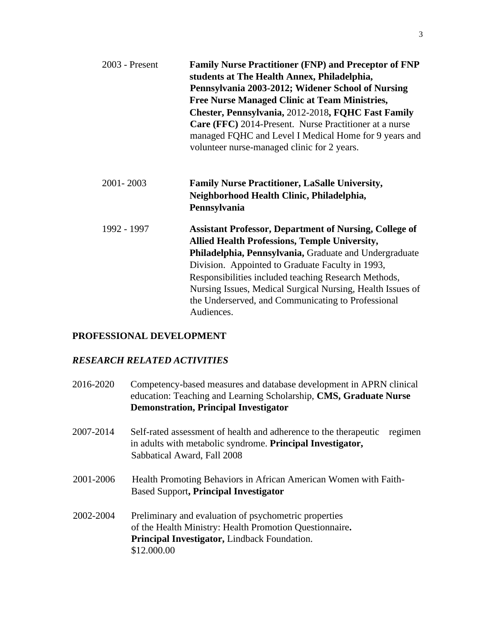| 2003 - Present | <b>Family Nurse Practitioner (FNP) and Preceptor of FNP</b><br>students at The Health Annex, Philadelphia,<br>Pennsylvania 2003-2012; Widener School of Nursing<br><b>Free Nurse Managed Clinic at Team Ministries,</b><br>Chester, Pennsylvania, 2012-2018, FQHC Fast Family<br><b>Care (FFC)</b> 2014-Present. Nurse Practitioner at a nurse<br>managed FQHC and Level I Medical Home for 9 years and<br>volunteer nurse-managed clinic for 2 years. |
|----------------|--------------------------------------------------------------------------------------------------------------------------------------------------------------------------------------------------------------------------------------------------------------------------------------------------------------------------------------------------------------------------------------------------------------------------------------------------------|
| 2001-2003      | <b>Family Nurse Practitioner, LaSalle University,</b><br>Neighborhood Health Clinic, Philadelphia,<br>Pennsylvania                                                                                                                                                                                                                                                                                                                                     |
| 1992 - 1997    | <b>Assistant Professor, Department of Nursing, College of</b><br><b>Allied Health Professions, Temple University,</b><br>Philadelphia, Pennsylvania, Graduate and Undergraduate<br>Division. Appointed to Graduate Faculty in 1993,<br>Responsibilities included teaching Research Methods,<br>Nursing Issues, Medical Surgical Nursing, Health Issues of<br>the Underserved, and Communicating to Professional<br>Audiences.                          |

## **PROFESSIONAL DEVELOPMENT**

## *RESEARCH RELATED ACTIVITIES*

| 2016-2020 | Competency-based measures and database development in APRN clinical<br>education: Teaching and Learning Scholarship, CMS, Graduate Nurse<br><b>Demonstration, Principal Investigator</b> |
|-----------|------------------------------------------------------------------------------------------------------------------------------------------------------------------------------------------|
| 2007-2014 | Self-rated assessment of health and adherence to the therapeutic<br>regimen<br>in adults with metabolic syndrome. Principal Investigator,<br>Sabbatical Award, Fall 2008                 |
| 2001-2006 | Health Promoting Behaviors in African American Women with Faith-<br><b>Based Support, Principal Investigator</b>                                                                         |
| 2002-2004 | Preliminary and evaluation of psychometric properties<br>of the Health Ministry: Health Promotion Questionnaire.<br><b>Principal Investigator, Lindback Foundation.</b><br>\$12.000.00   |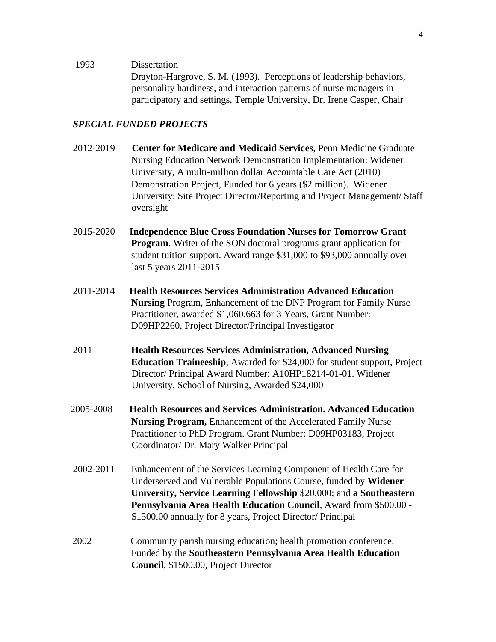1993 Dissertation

Drayton-Hargrove, S. M. (1993). Perceptions of leadership behaviors, personality hardiness, and interaction patterns of nurse managers in participatory and settings, Temple University, Dr. Irene Casper, Chair

### *SPECIAL FUNDED PROJECTS*

- 2012-2019 **Center for Medicare and Medicaid Services**, Penn Medicine Graduate Nursing Education Network Demonstration Implementation: Widener University, A multi-million dollar Accountable Care Act (2010) Demonstration Project, Funded for 6 years (\$2 million). Widener University: Site Project Director/Reporting and Project Management/ Staff oversight
- 2015-2020 **Independence Blue Cross Foundation Nurses for Tomorrow Grant Program.** Writer of the SON doctoral programs grant application for student tuition support. Award range \$31,000 to \$93,000 annually over last 5 years 2011-2015
- 2011-2014 **Health Resources Services Administration Advanced Education Nursing** Program, Enhancement of the DNP Program for Family Nurse Practitioner, awarded \$1,060,663 for 3 Years, Grant Number: D09HP2260, Project Director/Principal Investigator
- 2011 **Health Resources Services Administration, Advanced Nursing Education Traineeship**, Awarded for \$24,000 for student support, Project Director/ Principal Award Number: A10HP18214-01-01. Widener University, School of Nursing, Awarded \$24,000
- 2005-2008 **Health Resources and Services Administration. Advanced Education Nursing Program,** Enhancement of the Accelerated Family Nurse Practitioner to PhD Program. Grant Number: D09HP03183, Project Coordinator/ Dr. Mary Walker Principal
- 2002-2011 Enhancement of the Services Learning Component of Health Care for Underserved and Vulnerable Populations Course, funded by **Widener University, Service Learning Fellowship** \$20,000; and **a Southeastern Pennsylvania Area Health Education Council**, Award from \$500.00 - \$1500.00 annually for 8 years, Project Director/ Principal
- 2002 Community parish nursing education; health promotion conference. Funded by the **Southeastern Pennsylvania Area Health Education Council**, \$1500.00, Project Director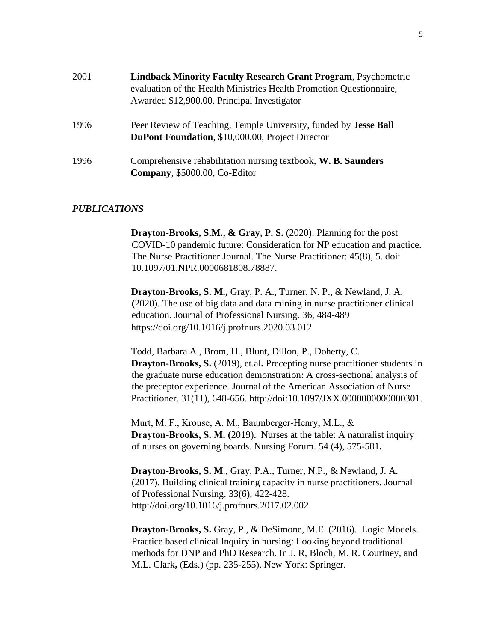| 2001 | <b>Lindback Minority Faculty Research Grant Program, Psychometric</b><br>evaluation of the Health Ministries Health Promotion Questionnaire,<br>Awarded \$12,900.00. Principal Investigator |
|------|---------------------------------------------------------------------------------------------------------------------------------------------------------------------------------------------|
| 1996 | Peer Review of Teaching, Temple University, funded by <b>Jesse Ball</b><br><b>DuPont Foundation, \$10,000.00, Project Director</b>                                                          |
| 1996 | Comprehensive rehabilitation nursing textbook, W. B. Saunders<br>Company, \$5000.00, Co-Editor                                                                                              |

#### *PUBLICATIONS*

**Drayton-Brooks, S.M., & Gray, P. S.** (2020). Planning for the post COVID-10 pandemic future: Consideration for NP education and practice. The Nurse Practitioner Journal. The Nurse Practitioner: 45(8), 5. doi: 10.1097/01.NPR.0000681808.78887.

**Drayton-Brooks, S. M.,** Gray, P. A., Turner, N. P., & Newland, J. A. **(**2020). The use of big data and data mining in nurse practitioner clinical education. Journal of Professional Nursing. 36, 484-489 https://doi.org/10.1016/j.profnurs.2020.03.012

Todd, Barbara A., Brom, H., Blunt, Dillon, P., Doherty, C. **Drayton-Brooks, S.** (2019), et.al. Precepting nurse practitioner students in the graduate nurse education demonstration: A cross-sectional analysis of the preceptor experience. Journal of the American Association of Nurse Practitioner. 31(11), 648-656. http://doi:10.1097/JXX.0000000000000301.

Murt, M. F., Krouse, A. M., Baumberger‐Henry, M.L., & **Drayton-Brooks, S. M. (2019).** Nurses at the table: A naturalist inquiry of nurses on governing boards. Nursing Forum. 54 (4), 575-581**.** 

**Drayton-Brooks, S. M**., Gray, P.A., Turner, N.P., & Newland, J. A. (2017). Building clinical training capacity in nurse practitioners. Journal of Professional Nursing. 33(6), 422-428. http://doi.org/10.1016/j.profnurs.2017.02.002

**Drayton-Brooks, S.** Gray, P., & DeSimone, M.E. (2016).Logic Models. Practice based clinical Inquiry in nursing: Looking beyond traditional methods for DNP and PhD Research. In J. R, Bloch, M. R. Courtney, and M.L. Clark**,** (Eds.) (pp. 235-255). New York: Springer.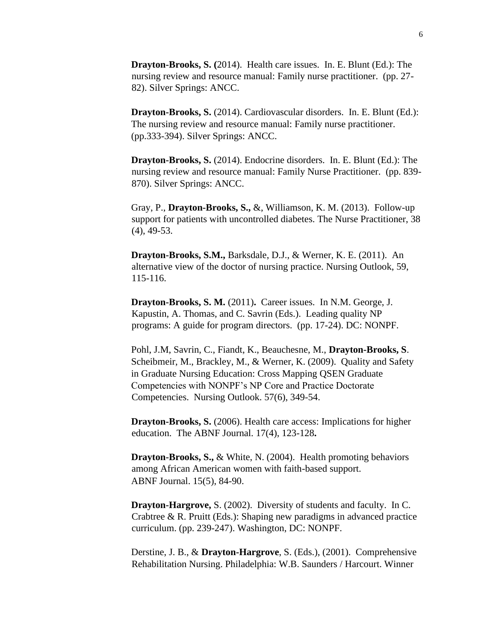**Drayton-Brooks, S. (**2014).Health care issues. In. E. Blunt (Ed.): The nursing review and resource manual: Family nurse practitioner. (pp. 27- 82). Silver Springs: ANCC.

**Drayton-Brooks, S.** (2014). Cardiovascular disorders. In. E. Blunt (Ed.): The nursing review and resource manual: Family nurse practitioner. (pp.333-394). Silver Springs: ANCC.

**Drayton-Brooks, S.** (2014). Endocrine disorders. In. E. Blunt (Ed.): The nursing review and resource manual: Family Nurse Practitioner. (pp. 839- 870). Silver Springs: ANCC.

Gray, P., **Drayton-Brooks, S.,** &, Williamson, K. M. (2013). Follow-up support for patients with uncontrolled diabetes. The Nurse Practitioner, 38 (4), 49-53.

**Drayton-Brooks, S.M.,** Barksdale, D.J., & Werner, K. E. (2011). An alternative view of the doctor of nursing practice. Nursing Outlook, 59, 115-116.

**Drayton-Brooks, S. M.** (2011)**.** Career issues. In N.M. George, J. Kapustin, A. Thomas, and C. Savrin (Eds.). Leading quality NP programs: A guide for program directors. (pp. 17-24). DC: NONPF.

Pohl, J.M, Savrin, C., Fiandt, K., Beauchesne, M., **Drayton-Brooks, S**. Scheibmeir, M., Brackley, M., & Werner, K. (2009). Quality and Safety in Graduate Nursing Education: Cross Mapping QSEN Graduate Competencies with NONPF's NP Core and Practice Doctorate Competencies. Nursing Outlook. 57(6), 349-54.

**Drayton-Brooks, S.** (2006). Health care access: Implications for higher education. The ABNF Journal. 17(4), 123-128**.** 

**Drayton-Brooks, S.,** & White, N. (2004).Health promoting behaviors among African American women with faith-based support. ABNF Journal. 15(5), 84-90.

**Drayton-Hargrove,** S. (2002). Diversity of students and faculty. In C. Crabtree & R. Pruitt (Eds.): Shaping new paradigms in advanced practice curriculum. (pp. 239-247). Washington, DC: NONPF.

Derstine, J. B., & **Drayton-Hargrove**, S. (Eds.), (2001). Comprehensive Rehabilitation Nursing. Philadelphia: W.B. Saunders / Harcourt. Winner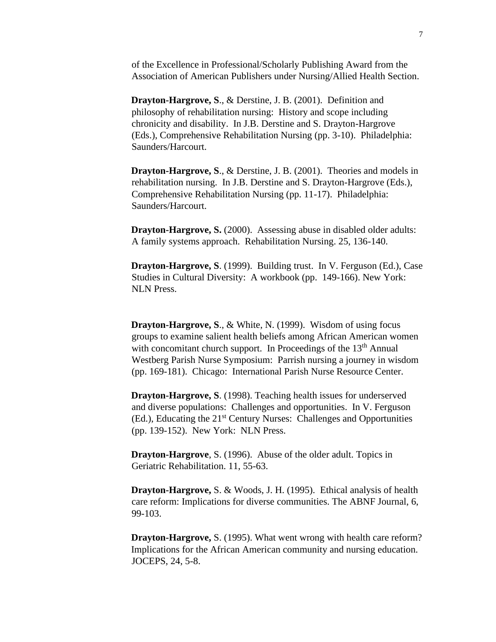of the Excellence in Professional/Scholarly Publishing Award from the Association of American Publishers under Nursing/Allied Health Section.

**Drayton-Hargrove, S**., & Derstine, J. B. (2001). Definition and philosophy of rehabilitation nursing: History and scope including chronicity and disability. In J.B. Derstine and S. Drayton-Hargrove (Eds.), Comprehensive Rehabilitation Nursing (pp. 3-10). Philadelphia: Saunders/Harcourt.

**Drayton-Hargrove, S**., & Derstine, J. B. (2001). Theories and models in rehabilitation nursing. In J.B. Derstine and S. Drayton-Hargrove (Eds.), Comprehensive Rehabilitation Nursing (pp. 11-17). Philadelphia: Saunders/Harcourt.

**Drayton-Hargrove, S. (2000).** Assessing abuse in disabled older adults: A family systems approach. Rehabilitation Nursing. 25, 136-140.

**Drayton-Hargrove, S**. (1999). Building trust. In V. Ferguson (Ed.), Case Studies in Cultural Diversity: A workbook (pp. 149-166). New York: NLN Press.

**Drayton-Hargrove, S**., & White, N. (1999). Wisdom of using focus groups to examine salient health beliefs among African American women with concomitant church support. In Proceedings of the  $13<sup>th</sup>$  Annual Westberg Parish Nurse Symposium: Parrish nursing a journey in wisdom (pp. 169-181). Chicago: International Parish Nurse Resource Center.

**Drayton-Hargrove, S**. (1998). Teaching health issues for underserved and diverse populations: Challenges and opportunities. In V. Ferguson (Ed.), Educating the 21<sup>st</sup> Century Nurses: Challenges and Opportunities (pp. 139-152). New York: NLN Press.

**Drayton-Hargrove**, S. (1996).Abuse of the older adult. Topics in Geriatric Rehabilitation. 11, 55-63.

**Drayton-Hargrove,** S. & Woods, J. H. (1995). Ethical analysis of health care reform: Implications for diverse communities. The ABNF Journal, 6, 99-103.

**Drayton-Hargrove,** S. (1995). What went wrong with health care reform? Implications for the African American community and nursing education. JOCEPS, 24, 5-8.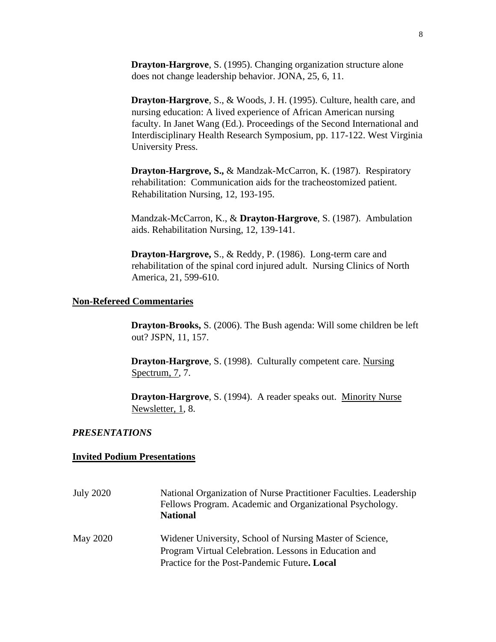**Drayton-Hargrove**, S. (1995). Changing organization structure alone does not change leadership behavior. JONA, 25, 6, 11.

**Drayton-Hargrove**, S., & Woods, J. H. (1995). Culture, health care, and nursing education: A lived experience of African American nursing faculty. In Janet Wang (Ed.). Proceedings of the Second International and Interdisciplinary Health Research Symposium, pp. 117-122. West Virginia University Press.

**Drayton-Hargrove, S.,** & Mandzak-McCarron, K. (1987). Respiratory rehabilitation: Communication aids for the tracheostomized patient. Rehabilitation Nursing, 12, 193-195.

Mandzak-McCarron, K., & **Drayton-Hargrove**, S. (1987). Ambulation aids. Rehabilitation Nursing, 12, 139-141.

**Drayton-Hargrove,** S., & Reddy, P. (1986). Long-term care and rehabilitation of the spinal cord injured adult. Nursing Clinics of North America, 21, 599-610.

#### **Non-Refereed Commentaries**

**Drayton-Brooks,** S. (2006). The Bush agenda: Will some children be left out? JSPN, 11, 157.

**Drayton-Hargrove**, S. (1998). Culturally competent care. Nursing Spectrum, 7, 7.

**Drayton-Hargrove**, S. (1994). A reader speaks out. Minority Nurse Newsletter, 1, 8.

#### *PRESENTATIONS*

#### **Invited Podium Presentations**

| <b>July 2020</b> | National Organization of Nurse Practitioner Faculties. Leadership<br>Fellows Program. Academic and Organizational Psychology.<br><b>National</b> |
|------------------|--------------------------------------------------------------------------------------------------------------------------------------------------|
| <b>May 2020</b>  | Widener University, School of Nursing Master of Science,<br>Program Virtual Celebration. Lessons in Education and                                |
|                  | Practice for the Post-Pandemic Future. Local                                                                                                     |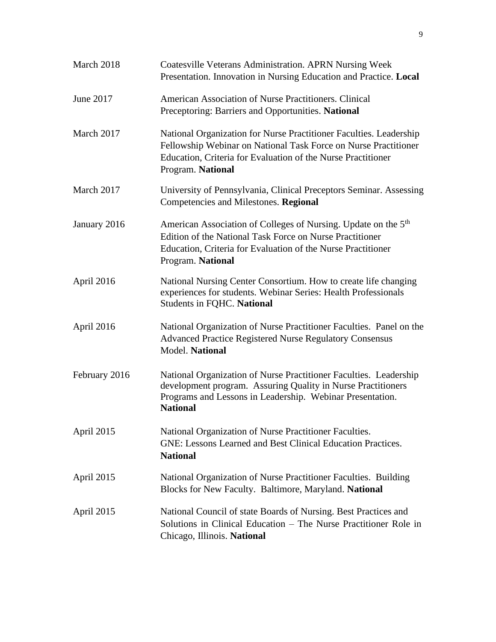| March 2018    | <b>Coatesville Veterans Administration. APRN Nursing Week</b><br>Presentation. Innovation in Nursing Education and Practice. Local                                                                                          |
|---------------|-----------------------------------------------------------------------------------------------------------------------------------------------------------------------------------------------------------------------------|
| June 2017     | American Association of Nurse Practitioners. Clinical<br>Preceptoring: Barriers and Opportunities. National                                                                                                                 |
| March 2017    | National Organization for Nurse Practitioner Faculties. Leadership<br>Fellowship Webinar on National Task Force on Nurse Practitioner<br>Education, Criteria for Evaluation of the Nurse Practitioner<br>Program. National  |
| March 2017    | University of Pennsylvania, Clinical Preceptors Seminar. Assessing<br>Competencies and Milestones. Regional                                                                                                                 |
| January 2016  | American Association of Colleges of Nursing. Update on the 5 <sup>th</sup><br>Edition of the National Task Force on Nurse Practitioner<br>Education, Criteria for Evaluation of the Nurse Practitioner<br>Program. National |
| April 2016    | National Nursing Center Consortium. How to create life changing<br>experiences for students. Webinar Series: Health Professionals<br><b>Students in FQHC. National</b>                                                      |
| April 2016    | National Organization of Nurse Practitioner Faculties. Panel on the<br><b>Advanced Practice Registered Nurse Regulatory Consensus</b><br>Model. National                                                                    |
| February 2016 | National Organization of Nurse Practitioner Faculties. Leadership<br>development program. Assuring Quality in Nurse Practitioners<br>Programs and Lessons in Leadership. Webinar Presentation.<br><b>National</b>           |
| April 2015    | National Organization of Nurse Practitioner Faculties.<br><b>GNE: Lessons Learned and Best Clinical Education Practices.</b><br><b>National</b>                                                                             |
| April 2015    | National Organization of Nurse Practitioner Faculties. Building<br>Blocks for New Faculty. Baltimore, Maryland. National                                                                                                    |
| April 2015    | National Council of state Boards of Nursing. Best Practices and<br>Solutions in Clinical Education – The Nurse Practitioner Role in<br>Chicago, Illinois. National                                                          |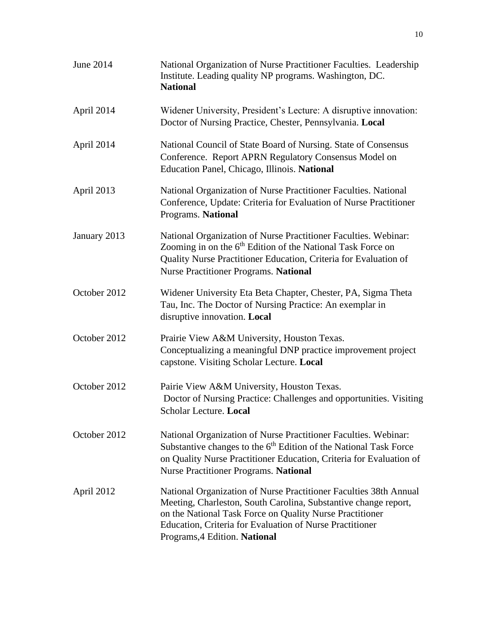| June 2014    | National Organization of Nurse Practitioner Faculties. Leadership<br>Institute. Leading quality NP programs. Washington, DC.<br><b>National</b>                                                                                                                                               |
|--------------|-----------------------------------------------------------------------------------------------------------------------------------------------------------------------------------------------------------------------------------------------------------------------------------------------|
| April 2014   | Widener University, President's Lecture: A disruptive innovation:<br>Doctor of Nursing Practice, Chester, Pennsylvania. Local                                                                                                                                                                 |
| April 2014   | National Council of State Board of Nursing. State of Consensus<br>Conference. Report APRN Regulatory Consensus Model on<br>Education Panel, Chicago, Illinois. National                                                                                                                       |
| April 2013   | National Organization of Nurse Practitioner Faculties. National<br>Conference, Update: Criteria for Evaluation of Nurse Practitioner<br>Programs. National                                                                                                                                    |
| January 2013 | National Organization of Nurse Practitioner Faculties. Webinar:<br>Zooming in on the 6 <sup>th</sup> Edition of the National Task Force on<br>Quality Nurse Practitioner Education, Criteria for Evaluation of<br><b>Nurse Practitioner Programs. National</b>                                |
| October 2012 | Widener University Eta Beta Chapter, Chester, PA, Sigma Theta<br>Tau, Inc. The Doctor of Nursing Practice: An exemplar in<br>disruptive innovation. Local                                                                                                                                     |
| October 2012 | Prairie View A&M University, Houston Texas.<br>Conceptualizing a meaningful DNP practice improvement project<br>capstone. Visiting Scholar Lecture. Local                                                                                                                                     |
| October 2012 | Pairie View A&M University, Houston Texas.<br>Doctor of Nursing Practice: Challenges and opportunities. Visiting<br>Scholar Lecture. Local                                                                                                                                                    |
| October 2012 | National Organization of Nurse Practitioner Faculties. Webinar:<br>Substantive changes to the 6 <sup>th</sup> Edition of the National Task Force<br>on Quality Nurse Practitioner Education, Criteria for Evaluation of<br><b>Nurse Practitioner Programs. National</b>                       |
| April 2012   | National Organization of Nurse Practitioner Faculties 38th Annual<br>Meeting, Charleston, South Carolina, Substantive change report,<br>on the National Task Force on Quality Nurse Practitioner<br>Education, Criteria for Evaluation of Nurse Practitioner<br>Programs, 4 Edition. National |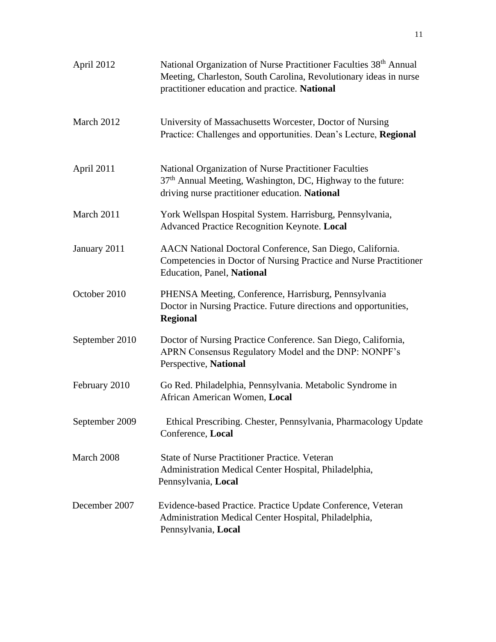| April 2012     | National Organization of Nurse Practitioner Faculties 38 <sup>th</sup> Annual<br>Meeting, Charleston, South Carolina, Revolutionary ideas in nurse<br>practitioner education and practice. National |
|----------------|-----------------------------------------------------------------------------------------------------------------------------------------------------------------------------------------------------|
| March 2012     | University of Massachusetts Worcester, Doctor of Nursing<br>Practice: Challenges and opportunities. Dean's Lecture, Regional                                                                        |
| April 2011     | National Organization of Nurse Practitioner Faculties<br>37 <sup>th</sup> Annual Meeting, Washington, DC, Highway to the future:<br>driving nurse practitioner education. National                  |
| March 2011     | York Wellspan Hospital System. Harrisburg, Pennsylvania,<br>Advanced Practice Recognition Keynote. Local                                                                                            |
| January 2011   | AACN National Doctoral Conference, San Diego, California.<br>Competencies in Doctor of Nursing Practice and Nurse Practitioner<br><b>Education, Panel, National</b>                                 |
| October 2010   | PHENSA Meeting, Conference, Harrisburg, Pennsylvania<br>Doctor in Nursing Practice. Future directions and opportunities,<br><b>Regional</b>                                                         |
| September 2010 | Doctor of Nursing Practice Conference. San Diego, California,<br>APRN Consensus Regulatory Model and the DNP: NONPF's<br>Perspective, National                                                      |
| February 2010  | Go Red. Philadelphia, Pennsylvania. Metabolic Syndrome in<br>African American Women, Local                                                                                                          |
| September 2009 | Ethical Prescribing. Chester, Pennsylvania, Pharmacology Update<br>Conference, Local                                                                                                                |
| March 2008     | <b>State of Nurse Practitioner Practice. Veteran</b><br>Administration Medical Center Hospital, Philadelphia,<br>Pennsylvania, Local                                                                |
| December 2007  | Evidence-based Practice. Practice Update Conference, Veteran<br>Administration Medical Center Hospital, Philadelphia,<br>Pennsylvania, Local                                                        |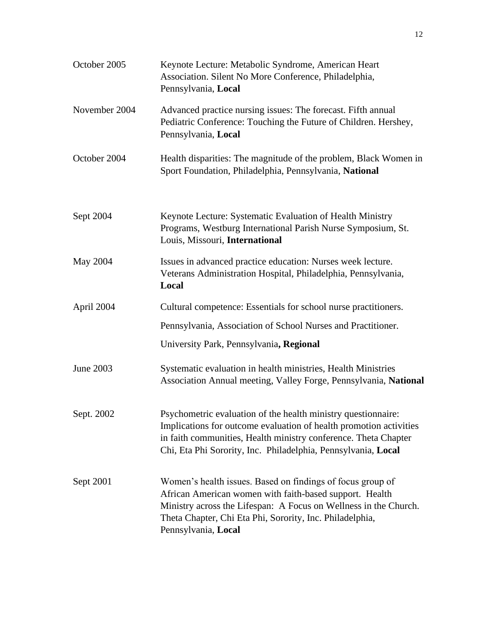| October 2005  | Keynote Lecture: Metabolic Syndrome, American Heart<br>Association. Silent No More Conference, Philadelphia,<br>Pennsylvania, Local                                                                                                                                          |
|---------------|------------------------------------------------------------------------------------------------------------------------------------------------------------------------------------------------------------------------------------------------------------------------------|
| November 2004 | Advanced practice nursing issues: The forecast. Fifth annual<br>Pediatric Conference: Touching the Future of Children. Hershey,<br>Pennsylvania, Local                                                                                                                       |
| October 2004  | Health disparities: The magnitude of the problem, Black Women in<br>Sport Foundation, Philadelphia, Pennsylvania, National                                                                                                                                                   |
| Sept 2004     | Keynote Lecture: Systematic Evaluation of Health Ministry<br>Programs, Westburg International Parish Nurse Symposium, St.<br>Louis, Missouri, International                                                                                                                  |
| May 2004      | Issues in advanced practice education: Nurses week lecture.<br>Veterans Administration Hospital, Philadelphia, Pennsylvania,<br>Local                                                                                                                                        |
| April 2004    | Cultural competence: Essentials for school nurse practitioners.                                                                                                                                                                                                              |
|               | Pennsylvania, Association of School Nurses and Practitioner.                                                                                                                                                                                                                 |
|               | University Park, Pennsylvania, Regional                                                                                                                                                                                                                                      |
| June 2003     | Systematic evaluation in health ministries, Health Ministries<br>Association Annual meeting, Valley Forge, Pennsylvania, National                                                                                                                                            |
| Sept. 2002    | Psychometric evaluation of the health ministry questionnaire:<br>Implications for outcome evaluation of health promotion activities<br>in faith communities, Health ministry conference. Theta Chapter<br>Chi, Eta Phi Sorority, Inc. Philadelphia, Pennsylvania, Local      |
| Sept 2001     | Women's health issues. Based on findings of focus group of<br>African American women with faith-based support. Health<br>Ministry across the Lifespan: A Focus on Wellness in the Church.<br>Theta Chapter, Chi Eta Phi, Sorority, Inc. Philadelphia,<br>Pennsylvania, Local |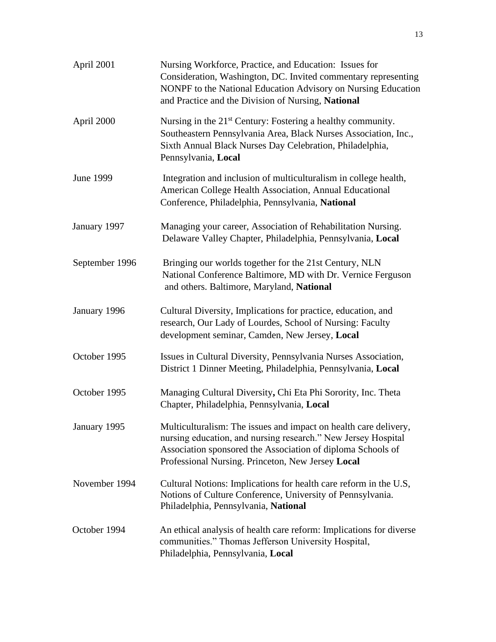| April 2001       | Nursing Workforce, Practice, and Education: Issues for<br>Consideration, Washington, DC. Invited commentary representing<br>NONPF to the National Education Advisory on Nursing Education<br>and Practice and the Division of Nursing, National       |
|------------------|-------------------------------------------------------------------------------------------------------------------------------------------------------------------------------------------------------------------------------------------------------|
| April 2000       | Nursing in the 21 <sup>st</sup> Century: Fostering a healthy community.<br>Southeastern Pennsylvania Area, Black Nurses Association, Inc.,<br>Sixth Annual Black Nurses Day Celebration, Philadelphia,<br>Pennsylvania, Local                         |
| <b>June 1999</b> | Integration and inclusion of multiculturalism in college health,<br>American College Health Association, Annual Educational<br>Conference, Philadelphia, Pennsylvania, National                                                                       |
| January 1997     | Managing your career, Association of Rehabilitation Nursing.<br>Delaware Valley Chapter, Philadelphia, Pennsylvania, Local                                                                                                                            |
| September 1996   | Bringing our worlds together for the 21st Century, NLN<br>National Conference Baltimore, MD with Dr. Vernice Ferguson<br>and others. Baltimore, Maryland, National                                                                                    |
| January 1996     | Cultural Diversity, Implications for practice, education, and<br>research, Our Lady of Lourdes, School of Nursing: Faculty<br>development seminar, Camden, New Jersey, Local                                                                          |
| October 1995     | Issues in Cultural Diversity, Pennsylvania Nurses Association,<br>District 1 Dinner Meeting, Philadelphia, Pennsylvania, Local                                                                                                                        |
| October 1995     | Managing Cultural Diversity, Chi Eta Phi Sorority, Inc. Theta<br>Chapter, Philadelphia, Pennsylvania, Local                                                                                                                                           |
| January 1995     | Multiculturalism: The issues and impact on health care delivery,<br>nursing education, and nursing research." New Jersey Hospital<br>Association sponsored the Association of diploma Schools of<br>Professional Nursing. Princeton, New Jersey Local |
| November 1994    | Cultural Notions: Implications for health care reform in the U.S,<br>Notions of Culture Conference, University of Pennsylvania.<br>Philadelphia, Pennsylvania, National                                                                               |
| October 1994     | An ethical analysis of health care reform: Implications for diverse<br>communities." Thomas Jefferson University Hospital,<br>Philadelphia, Pennsylvania, Local                                                                                       |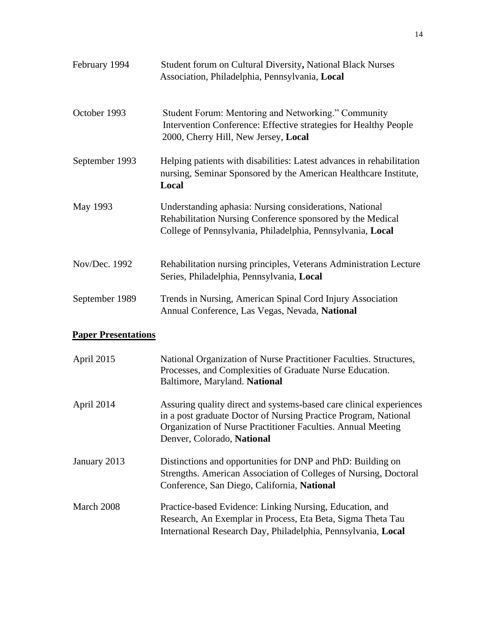| February 1994  | Student forum on Cultural Diversity, National Black Nurses<br>Association, Philadelphia, Pennsylvania, Local                                                                        |
|----------------|-------------------------------------------------------------------------------------------------------------------------------------------------------------------------------------|
| October 1993   | Student Forum: Mentoring and Networking." Community<br>Intervention Conference: Effective strategies for Healthy People<br>2000, Cherry Hill, New Jersey, Local                     |
| September 1993 | Helping patients with disabilities: Latest advances in rehabilitation<br>nursing, Seminar Sponsored by the American Healthcare Institute,<br>Local                                  |
| May 1993       | Understanding aphasia: Nursing considerations, National<br>Rehabilitation Nursing Conference sponsored by the Medical<br>College of Pennsylvania, Philadelphia, Pennsylvania, Local |
| Nov/Dec. 1992  | Rehabilitation nursing principles, Veterans Administration Lecture<br>Series, Philadelphia, Pennsylvania, Local                                                                     |
| September 1989 | Trends in Nursing, American Spinal Cord Injury Association<br>Annual Conference, Las Vegas, Nevada, National                                                                        |

# **Paper Presentations**

| April 2015   | National Organization of Nurse Practitioner Faculties. Structures,<br>Processes, and Complexities of Graduate Nurse Education.<br>Baltimore, Maryland. National                                                                      |
|--------------|--------------------------------------------------------------------------------------------------------------------------------------------------------------------------------------------------------------------------------------|
| April 2014   | Assuring quality direct and systems-based care clinical experiences<br>in a post graduate Doctor of Nursing Practice Program, National<br>Organization of Nurse Practitioner Faculties. Annual Meeting<br>Denver, Colorado, National |
| January 2013 | Distinctions and opportunities for DNP and PhD: Building on<br>Strengths. American Association of Colleges of Nursing, Doctoral<br>Conference, San Diego, California, National                                                       |
| March 2008   | Practice-based Evidence: Linking Nursing, Education, and<br>Research, An Exemplar in Process, Eta Beta, Sigma Theta Tau<br>International Research Day, Philadelphia, Pennsylvania, Local                                             |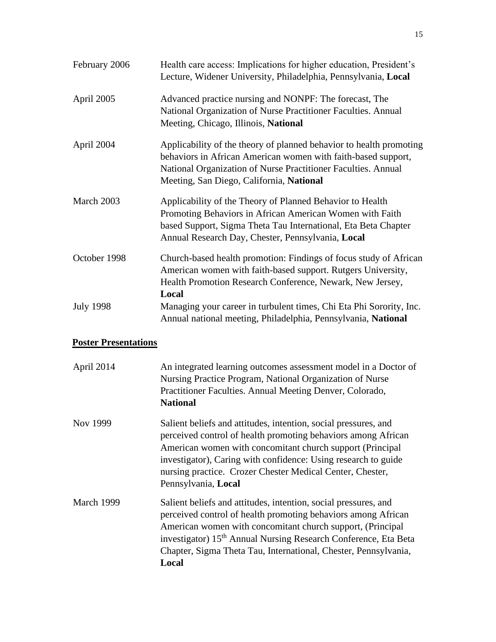| February 2006    | Health care access: Implications for higher education, President's<br>Lecture, Widener University, Philadelphia, Pennsylvania, Local                                                                                                              |
|------------------|---------------------------------------------------------------------------------------------------------------------------------------------------------------------------------------------------------------------------------------------------|
| April 2005       | Advanced practice nursing and NONPF: The forecast, The<br>National Organization of Nurse Practitioner Faculties. Annual<br>Meeting, Chicago, Illinois, National                                                                                   |
| April 2004       | Applicability of the theory of planned behavior to health promoting<br>behaviors in African American women with faith-based support,<br>National Organization of Nurse Practitioner Faculties. Annual<br>Meeting, San Diego, California, National |
| March 2003       | Applicability of the Theory of Planned Behavior to Health<br>Promoting Behaviors in African American Women with Faith<br>based Support, Sigma Theta Tau International, Eta Beta Chapter<br>Annual Research Day, Chester, Pennsylvania, Local      |
| October 1998     | Church-based health promotion: Findings of focus study of African<br>American women with faith-based support. Rutgers University,<br>Health Promotion Research Conference, Newark, New Jersey,<br>Local                                           |
| <b>July 1998</b> | Managing your career in turbulent times, Chi Eta Phi Sorority, Inc.<br>Annual national meeting, Philadelphia, Pennsylvania, National                                                                                                              |

### **Poster Presentations**

| April 2014 | An integrated learning outcomes assessment model in a Doctor of<br>Nursing Practice Program, National Organization of Nurse<br>Practitioner Faculties. Annual Meeting Denver, Colorado,<br><b>National</b>                                                                                                                                                |
|------------|-----------------------------------------------------------------------------------------------------------------------------------------------------------------------------------------------------------------------------------------------------------------------------------------------------------------------------------------------------------|
| Nov 1999   | Salient beliefs and attitudes, intention, social pressures, and<br>perceived control of health promoting behaviors among African<br>American women with concomitant church support (Principal<br>investigator), Caring with confidence: Using research to guide<br>nursing practice. Crozer Chester Medical Center, Chester,<br>Pennsylvania, Local       |
| March 1999 | Salient beliefs and attitudes, intention, social pressures, and<br>perceived control of health promoting behaviors among African<br>American women with concomitant church support, (Principal<br>investigator) 15 <sup>th</sup> Annual Nursing Research Conference, Eta Beta<br>Chapter, Sigma Theta Tau, International, Chester, Pennsylvania,<br>Local |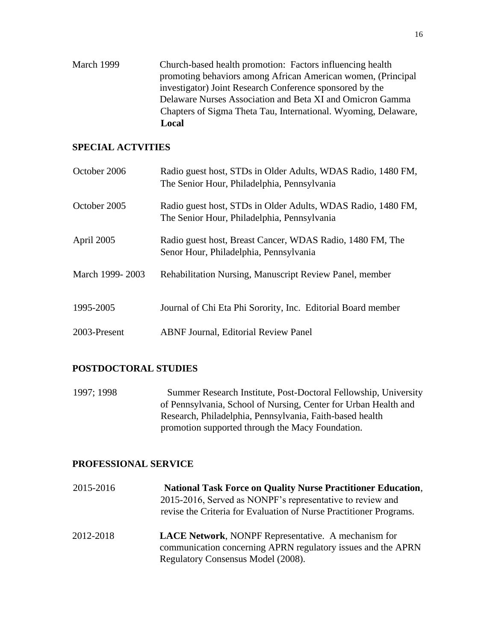March 1999 Church-based health promotion: Factors influencing health promoting behaviors among African American women, (Principal investigator) Joint Research Conference sponsored by the Delaware Nurses Association and Beta XI and Omicron Gamma Chapters of Sigma Theta Tau, International. Wyoming, Delaware, **Local** 

### **SPECIAL ACTVITIES**

| October 2006    | Radio guest host, STDs in Older Adults, WDAS Radio, 1480 FM,<br>The Senior Hour, Philadelphia, Pennsylvania |
|-----------------|-------------------------------------------------------------------------------------------------------------|
| October 2005    | Radio guest host, STDs in Older Adults, WDAS Radio, 1480 FM,<br>The Senior Hour, Philadelphia, Pennsylvania |
| April 2005      | Radio guest host, Breast Cancer, WDAS Radio, 1480 FM, The<br>Senor Hour, Philadelphia, Pennsylvania         |
| March 1999-2003 | Rehabilitation Nursing, Manuscript Review Panel, member                                                     |
| 1995-2005       | Journal of Chi Eta Phi Sorority, Inc. Editorial Board member                                                |
| 2003-Present    | <b>ABNF Journal, Editorial Review Panel</b>                                                                 |

### **POSTDOCTORAL STUDIES**

1997; 1998 Summer Research Institute, Post-Doctoral Fellowship, University of Pennsylvania, School of Nursing, Center for Urban Health and Research, Philadelphia, Pennsylvania, Faith-based health promotion supported through the Macy Foundation.

### **PROFESSIONAL SERVICE**

| 2015-2016 | <b>National Task Force on Quality Nurse Practitioner Education,</b><br>2015-2016, Served as NONPF's representative to review and<br>revise the Criteria for Evaluation of Nurse Practitioner Programs. |
|-----------|--------------------------------------------------------------------------------------------------------------------------------------------------------------------------------------------------------|
| 2012-2018 | <b>LACE Network, NONPF Representative. A mechanism for</b><br>communication concerning APRN regulatory issues and the APRN<br>Regulatory Consensus Model (2008).                                       |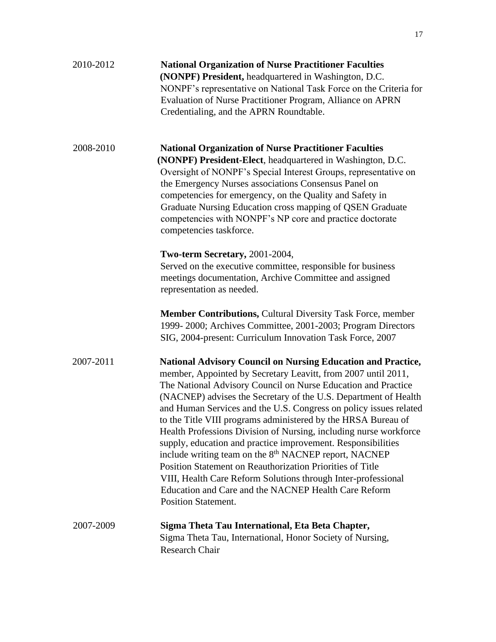| 2010-2012 | <b>National Organization of Nurse Practitioner Faculties</b><br>(NONPF) President, headquartered in Washington, D.C.<br>NONPF's representative on National Task Force on the Criteria for<br>Evaluation of Nurse Practitioner Program, Alliance on APRN<br>Credentialing, and the APRN Roundtable.                                                                                                                                                                                                                                                                                                                                                                                                                                                                                                                                           |
|-----------|----------------------------------------------------------------------------------------------------------------------------------------------------------------------------------------------------------------------------------------------------------------------------------------------------------------------------------------------------------------------------------------------------------------------------------------------------------------------------------------------------------------------------------------------------------------------------------------------------------------------------------------------------------------------------------------------------------------------------------------------------------------------------------------------------------------------------------------------|
| 2008-2010 | <b>National Organization of Nurse Practitioner Faculties</b><br>(NONPF) President-Elect, headquartered in Washington, D.C.<br>Oversight of NONPF's Special Interest Groups, representative on<br>the Emergency Nurses associations Consensus Panel on<br>competencies for emergency, on the Quality and Safety in<br>Graduate Nursing Education cross mapping of QSEN Graduate<br>competencies with NONPF's NP core and practice doctorate<br>competencies taskforce.                                                                                                                                                                                                                                                                                                                                                                        |
|           | Two-term Secretary, 2001-2004,<br>Served on the executive committee, responsible for business<br>meetings documentation, Archive Committee and assigned<br>representation as needed.                                                                                                                                                                                                                                                                                                                                                                                                                                                                                                                                                                                                                                                         |
|           | Member Contributions, Cultural Diversity Task Force, member<br>1999-2000; Archives Committee, 2001-2003; Program Directors<br>SIG, 2004-present: Curriculum Innovation Task Force, 2007                                                                                                                                                                                                                                                                                                                                                                                                                                                                                                                                                                                                                                                      |
| 2007-2011 | <b>National Advisory Council on Nursing Education and Practice,</b><br>member, Appointed by Secretary Leavitt, from 2007 until 2011,<br>The National Advisory Council on Nurse Education and Practice<br>(NACNEP) advises the Secretary of the U.S. Department of Health<br>and Human Services and the U.S. Congress on policy issues related<br>to the Title VIII programs administered by the HRSA Bureau of<br>Health Professions Division of Nursing, including nurse workforce<br>supply, education and practice improvement. Responsibilities<br>include writing team on the 8 <sup>th</sup> NACNEP report, NACNEP<br>Position Statement on Reauthorization Priorities of Title<br>VIII, Health Care Reform Solutions through Inter-professional<br>Education and Care and the NACNEP Health Care Reform<br><b>Position Statement.</b> |
| 2007-2009 | Sigma Theta Tau International, Eta Beta Chapter,<br>Sigma Theta Tau, International, Honor Society of Nursing,<br><b>Research Chair</b>                                                                                                                                                                                                                                                                                                                                                                                                                                                                                                                                                                                                                                                                                                       |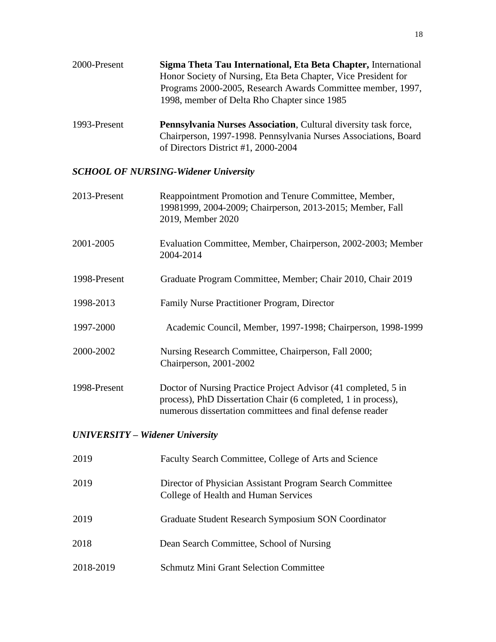| 2000-Present | Sigma Theta Tau International, Eta Beta Chapter, International |
|--------------|----------------------------------------------------------------|
|              | Honor Society of Nursing, Eta Beta Chapter, Vice President for |
|              | Programs 2000-2005, Research Awards Committee member, 1997,    |
|              | 1998, member of Delta Rho Chapter since 1985                   |
|              |                                                                |

1993-Present **Pennsylvania Nurses Association**, Cultural diversity task force, Chairperson, 1997-1998. Pennsylvania Nurses Associations, Board of Directors District #1, 2000-2004

## *SCHOOL OF NURSING-Widener University*

| 2013-Present                           | Reappointment Promotion and Tenure Committee, Member,<br>19981999, 2004-2009; Chairperson, 2013-2015; Member, Fall<br>2019, Member 2020                                                      |  |
|----------------------------------------|----------------------------------------------------------------------------------------------------------------------------------------------------------------------------------------------|--|
| 2001-2005                              | Evaluation Committee, Member, Chairperson, 2002-2003; Member<br>2004-2014                                                                                                                    |  |
| 1998-Present                           | Graduate Program Committee, Member; Chair 2010, Chair 2019                                                                                                                                   |  |
| 1998-2013                              | Family Nurse Practitioner Program, Director                                                                                                                                                  |  |
| 1997-2000                              | Academic Council, Member, 1997-1998; Chairperson, 1998-1999                                                                                                                                  |  |
| 2000-2002                              | Nursing Research Committee, Chairperson, Fall 2000;<br>Chairperson, 2001-2002                                                                                                                |  |
| 1998-Present                           | Doctor of Nursing Practice Project Advisor (41 completed, 5 in<br>process), PhD Dissertation Chair (6 completed, 1 in process),<br>numerous dissertation committees and final defense reader |  |
| <b>UNIVERSITY - Widener University</b> |                                                                                                                                                                                              |  |
| 2019                                   | Faculty Search Committee, College of Arts and Science                                                                                                                                        |  |
| 2019                                   | Director of Physician Assistant Program Search Committee<br>College of Health and Human Services                                                                                             |  |
| 2019                                   | Graduate Student Research Symposium SON Coordinator                                                                                                                                          |  |
| 2018                                   | Dean Search Committee, School of Nursing                                                                                                                                                     |  |
| 2018-2019                              | <b>Schmutz Mini Grant Selection Committee</b>                                                                                                                                                |  |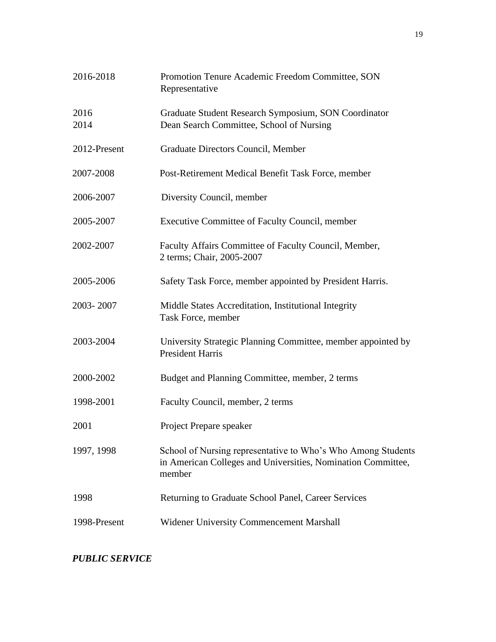| 2016-2018    | Promotion Tenure Academic Freedom Committee, SON<br>Representative                                                                     |
|--------------|----------------------------------------------------------------------------------------------------------------------------------------|
| 2016<br>2014 | Graduate Student Research Symposium, SON Coordinator<br>Dean Search Committee, School of Nursing                                       |
| 2012-Present | Graduate Directors Council, Member                                                                                                     |
| 2007-2008    | Post-Retirement Medical Benefit Task Force, member                                                                                     |
| 2006-2007    | Diversity Council, member                                                                                                              |
| 2005-2007    | Executive Committee of Faculty Council, member                                                                                         |
| 2002-2007    | Faculty Affairs Committee of Faculty Council, Member,<br>2 terms; Chair, 2005-2007                                                     |
| 2005-2006    | Safety Task Force, member appointed by President Harris.                                                                               |
| 2003-2007    | Middle States Accreditation, Institutional Integrity<br>Task Force, member                                                             |
| 2003-2004    | University Strategic Planning Committee, member appointed by<br><b>President Harris</b>                                                |
| 2000-2002    | Budget and Planning Committee, member, 2 terms                                                                                         |
| 1998-2001    | Faculty Council, member, 2 terms                                                                                                       |
| 2001         | Project Prepare speaker                                                                                                                |
| 1997, 1998   | School of Nursing representative to Who's Who Among Students<br>in American Colleges and Universities, Nomination Committee,<br>member |
| 1998         | Returning to Graduate School Panel, Career Services                                                                                    |
| 1998-Present | <b>Widener University Commencement Marshall</b>                                                                                        |

## *PUBLIC SERVICE*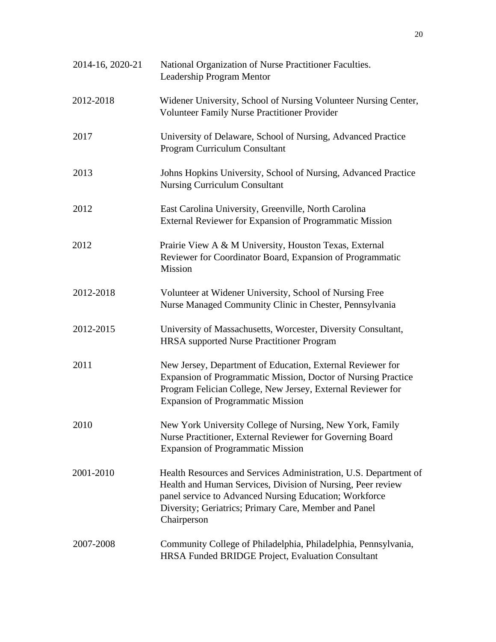| 2014-16, 2020-21 | National Organization of Nurse Practitioner Faculties.<br>Leadership Program Mentor                                                                                                                                                                               |
|------------------|-------------------------------------------------------------------------------------------------------------------------------------------------------------------------------------------------------------------------------------------------------------------|
| 2012-2018        | Widener University, School of Nursing Volunteer Nursing Center,<br>Volunteer Family Nurse Practitioner Provider                                                                                                                                                   |
| 2017             | University of Delaware, School of Nursing, Advanced Practice<br>Program Curriculum Consultant                                                                                                                                                                     |
| 2013             | Johns Hopkins University, School of Nursing, Advanced Practice<br><b>Nursing Curriculum Consultant</b>                                                                                                                                                            |
| 2012             | East Carolina University, Greenville, North Carolina<br>External Reviewer for Expansion of Programmatic Mission                                                                                                                                                   |
| 2012             | Prairie View A & M University, Houston Texas, External<br>Reviewer for Coordinator Board, Expansion of Programmatic<br>Mission                                                                                                                                    |
| 2012-2018        | Volunteer at Widener University, School of Nursing Free<br>Nurse Managed Community Clinic in Chester, Pennsylvania                                                                                                                                                |
| 2012-2015        | University of Massachusetts, Worcester, Diversity Consultant,<br><b>HRSA</b> supported Nurse Practitioner Program                                                                                                                                                 |
| 2011             | New Jersey, Department of Education, External Reviewer for<br>Expansion of Programmatic Mission, Doctor of Nursing Practice<br>Program Felician College, New Jersey, External Reviewer for<br><b>Expansion of Programmatic Mission</b>                            |
| 2010             | New York University College of Nursing, New York, Family<br>Nurse Practitioner, External Reviewer for Governing Board<br>Expansion of Programmatic Mission                                                                                                        |
| 2001-2010        | Health Resources and Services Administration, U.S. Department of<br>Health and Human Services, Division of Nursing, Peer review<br>panel service to Advanced Nursing Education; Workforce<br>Diversity; Geriatrics; Primary Care, Member and Panel<br>Chairperson |
| 2007-2008        | Community College of Philadelphia, Philadelphia, Pennsylvania,<br>HRSA Funded BRIDGE Project, Evaluation Consultant                                                                                                                                               |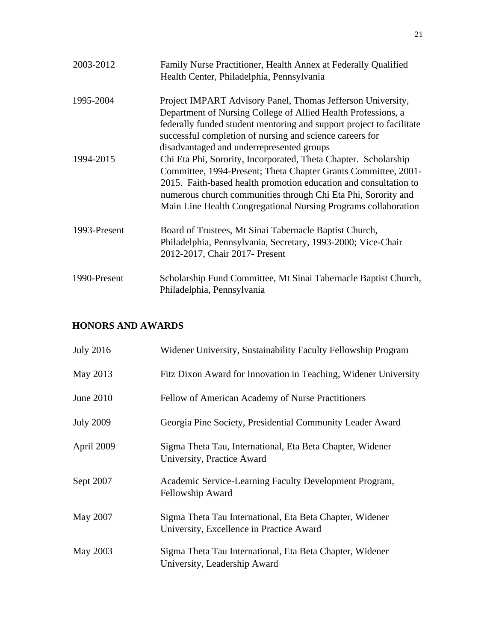| 2003-2012    | Family Nurse Practitioner, Health Annex at Federally Qualified<br>Health Center, Philadelphia, Pennsylvania                                                                                                                                                                                                                              |
|--------------|------------------------------------------------------------------------------------------------------------------------------------------------------------------------------------------------------------------------------------------------------------------------------------------------------------------------------------------|
| 1995-2004    | Project IMPART Advisory Panel, Thomas Jefferson University,<br>Department of Nursing College of Allied Health Professions, a<br>federally funded student mentoring and support project to facilitate<br>successful completion of nursing and science careers for<br>disadvantaged and underrepresented groups                            |
| 1994-2015    | Chi Eta Phi, Sorority, Incorporated, Theta Chapter. Scholarship<br>Committee, 1994-Present; Theta Chapter Grants Committee, 2001-<br>2015. Faith-based health promotion education and consultation to<br>numerous church communities through Chi Eta Phi, Sorority and<br>Main Line Health Congregational Nursing Programs collaboration |
| 1993-Present | Board of Trustees, Mt Sinai Tabernacle Baptist Church,<br>Philadelphia, Pennsylvania, Secretary, 1993-2000; Vice-Chair<br>2012-2017, Chair 2017- Present                                                                                                                                                                                 |
| 1990-Present | Scholarship Fund Committee, Mt Sinai Tabernacle Baptist Church,<br>Philadelphia, Pennsylvania                                                                                                                                                                                                                                            |

## **HONORS AND AWARDS**

| <b>July 2016</b> | Widener University, Sustainability Faculty Fellowship Program                                        |
|------------------|------------------------------------------------------------------------------------------------------|
| May 2013         | Fitz Dixon Award for Innovation in Teaching, Widener University                                      |
| June 2010        | Fellow of American Academy of Nurse Practitioners                                                    |
| <b>July 2009</b> | Georgia Pine Society, Presidential Community Leader Award                                            |
| April 2009       | Sigma Theta Tau, International, Eta Beta Chapter, Widener<br>University, Practice Award              |
| Sept 2007        | Academic Service-Learning Faculty Development Program,<br>Fellowship Award                           |
| May 2007         | Sigma Theta Tau International, Eta Beta Chapter, Widener<br>University, Excellence in Practice Award |
| May 2003         | Sigma Theta Tau International, Eta Beta Chapter, Widener<br>University, Leadership Award             |